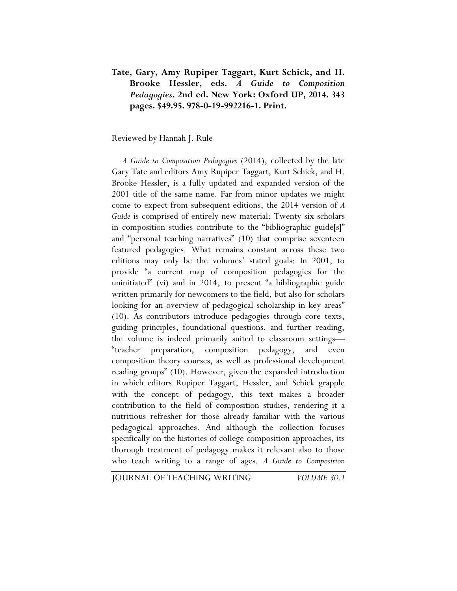## **Tate, Gary, Amy Rupiper Taggart, Kurt Schick, and H. Brooke Hessler, eds.** *A Guide to Composition Pedagogies***. 2nd ed. New York: Oxford UP, 2014. 343 pages. \$49.95. 978-0-19-992216-1. Print.**

## Reviewed by Hannah J. Rule

*A Guide to Composition Pedagogies* (2014), collected by the late Gary Tate and editors Amy Rupiper Taggart, Kurt Schick, and H. Brooke Hessler, is a fully updated and expanded version of the 2001 title of the same name. Far from minor updates we might come to expect from subsequent editions, the 2014 version of *A Guide* is comprised of entirely new material: Twenty-six scholars in composition studies contribute to the "bibliographic guide[s]" and "personal teaching narratives" (10) that comprise seventeen featured pedagogies. What remains constant across these two editions may only be the volumes' stated goals: In 2001, to provide "a current map of composition pedagogies for the uninitiated" (vi) and in 2014, to present "a bibliographic guide written primarily for newcomers to the field, but also for scholars looking for an overview of pedagogical scholarship in key areas" (10). As contributors introduce pedagogies through core texts, guiding principles, foundational questions, and further reading, the volume is indeed primarily suited to classroom settings— "teacher preparation, composition pedagogy, and even composition theory courses, as well as professional development reading groups" (10). However, given the expanded introduction in which editors Rupiper Taggart, Hessler, and Schick grapple with the concept of pedagogy, this text makes a broader contribution to the field of composition studies, rendering it a nutritious refresher for those already familiar with the various pedagogical approaches. And although the collection focuses specifically on the histories of college composition approaches, its thorough treatment of pedagogy makes it relevant also to those who teach writing to a range of ages. *A Guide to Composition* 

JOURNAL OF TEACHING WRITING *VOLUME 30.1*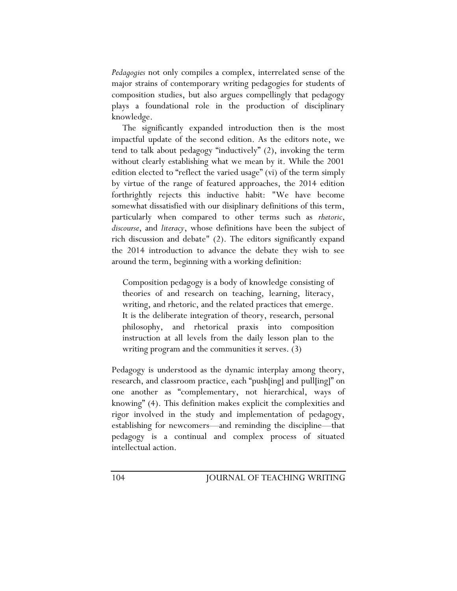*Pedagogies* not only compiles a complex, interrelated sense of the major strains of contemporary writing pedagogies for students of composition studies, but also argues compellingly that pedagogy plays a foundational role in the production of disciplinary knowledge.

The significantly expanded introduction then is the most impactful update of the second edition. As the editors note, we tend to talk about pedagogy "inductively" (2), invoking the term without clearly establishing what we mean by it. While the 2001 edition elected to "reflect the varied usage" (vi) of the term simply by virtue of the range of featured approaches, the 2014 edition forthrightly rejects this inductive habit: "We have become somewhat dissatisfied with our disiplinary definitions of this term, particularly when compared to other terms such as *rhetoric*, *discourse*, and *literacy*, whose definitions have been the subject of rich discussion and debate" (2). The editors significantly expand the 2014 introduction to advance the debate they wish to see around the term, beginning with a working definition:

Composition pedagogy is a body of knowledge consisting of theories of and research on teaching, learning, literacy, writing, and rhetoric, and the related practices that emerge. It is the deliberate integration of theory, research, personal philosophy, and rhetorical praxis into composition instruction at all levels from the daily lesson plan to the writing program and the communities it serves. (3)

Pedagogy is understood as the dynamic interplay among theory, research, and classroom practice, each "push[ing] and pull[ing]" on one another as "complementary, not hierarchical, ways of knowing" (4). This definition makes explicit the complexities and rigor involved in the study and implementation of pedagogy, establishing for newcomers—and reminding the discipline—that pedagogy is a continual and complex process of situated intellectual action.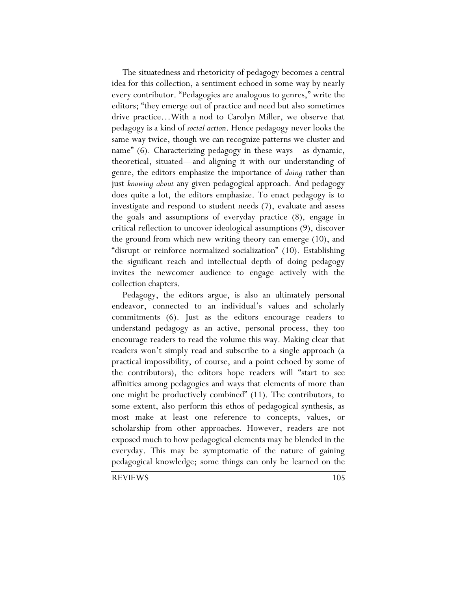The situatedness and rhetoricity of pedagogy becomes a central idea for this collection, a sentiment echoed in some way by nearly every contributor. "Pedagogies are analogous to genres," write the editors; "they emerge out of practice and need but also sometimes drive practice…With a nod to Carolyn Miller, we observe that pedagogy is a kind of *social action*. Hence pedagogy never looks the same way twice, though we can recognize patterns we cluster and name" (6). Characterizing pedagogy in these ways—as dynamic, theoretical, situated—and aligning it with our understanding of genre, the editors emphasize the importance of *doing* rather than just *knowing about* any given pedagogical approach. And pedagogy does quite a lot, the editors emphasize. To enact pedagogy is to investigate and respond to student needs (7), evaluate and assess the goals and assumptions of everyday practice (8), engage in critical reflection to uncover ideological assumptions (9), discover the ground from which new writing theory can emerge (10), and "disrupt or reinforce normalized socialization" (10). Establishing the significant reach and intellectual depth of doing pedagogy invites the newcomer audience to engage actively with the collection chapters.

Pedagogy, the editors argue, is also an ultimately personal endeavor, connected to an individual's values and scholarly commitments (6). Just as the editors encourage readers to understand pedagogy as an active, personal process, they too encourage readers to read the volume this way. Making clear that readers won't simply read and subscribe to a single approach (a practical impossibility, of course, and a point echoed by some of the contributors), the editors hope readers will "start to see affinities among pedagogies and ways that elements of more than one might be productively combined" (11). The contributors, to some extent, also perform this ethos of pedagogical synthesis, as most make at least one reference to concepts, values, or scholarship from other approaches. However, readers are not exposed much to how pedagogical elements may be blended in the everyday. This may be symptomatic of the nature of gaining pedagogical knowledge; some things can only be learned on the

REVIEWS 105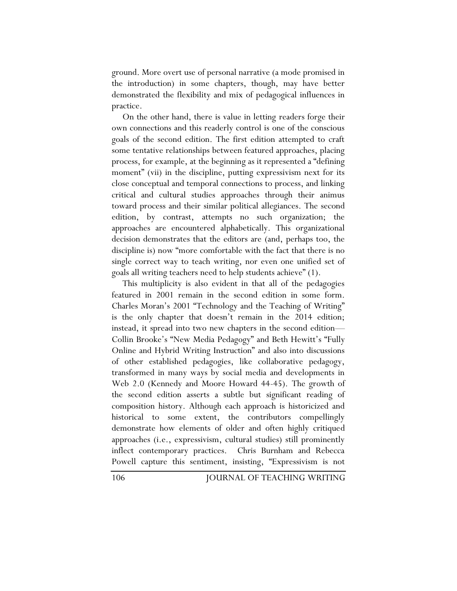ground. More overt use of personal narrative (a mode promised in the introduction) in some chapters, though, may have better demonstrated the flexibility and mix of pedagogical influences in practice.

On the other hand, there is value in letting readers forge their own connections and this readerly control is one of the conscious goals of the second edition. The first edition attempted to craft some tentative relationships between featured approaches, placing process, for example, at the beginning as it represented a "defining moment" (vii) in the discipline, putting expressivism next for its close conceptual and temporal connections to process, and linking critical and cultural studies approaches through their animus toward process and their similar political allegiances. The second edition, by contrast, attempts no such organization; the approaches are encountered alphabetically. This organizational decision demonstrates that the editors are (and, perhaps too, the discipline is) now "more comfortable with the fact that there is no single correct way to teach writing, nor even one unified set of goals all writing teachers need to help students achieve" (1).

This multiplicity is also evident in that all of the pedagogies featured in 2001 remain in the second edition in some form. Charles Moran's 2001 "Technology and the Teaching of Writing" is the only chapter that doesn't remain in the 2014 edition; instead, it spread into two new chapters in the second edition— Collin Brooke's "New Media Pedagogy" and Beth Hewitt's "Fully Online and Hybrid Writing Instruction" and also into discussions of other established pedagogies, like collaborative pedagogy, transformed in many ways by social media and developments in Web 2.0 (Kennedy and Moore Howard 44-45). The growth of the second edition asserts a subtle but significant reading of composition history. Although each approach is historicized and historical to some extent, the contributors compellingly demonstrate how elements of older and often highly critiqued approaches (i.e., expressivism, cultural studies) still prominently inflect contemporary practices. Chris Burnham and Rebecca Powell capture this sentiment, insisting, "Expressivism is not

106 JOURNAL OF TEACHING WRITING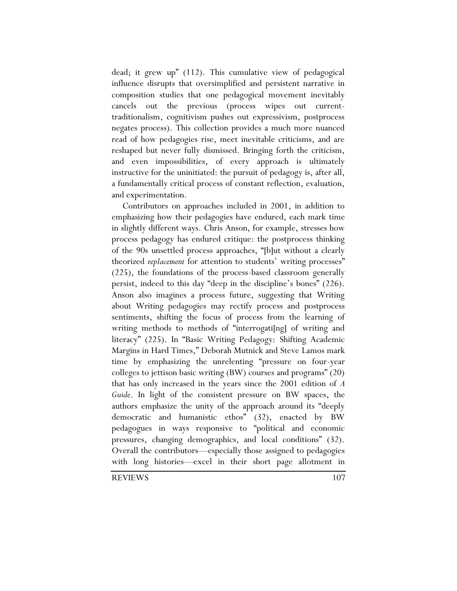dead; it grew up" (112). This cumulative view of pedagogical influence disrupts that oversimplified and persistent narrative in composition studies that one pedagogical movement inevitably cancels out the previous (process wipes out currenttraditionalism, cognitivism pushes out expressivism, postprocess negates process). This collection provides a much more nuanced read of how pedagogies rise, meet inevitable criticisms, and are reshaped but never fully dismissed. Bringing forth the criticism, and even impossibilities, of every approach is ultimately instructive for the uninitiated: the pursuit of pedagogy is, after all, a fundamentally critical process of constant reflection, evaluation, and experimentation.

Contributors on approaches included in 2001, in addition to emphasizing how their pedagogies have endured, each mark time in slightly different ways. Chris Anson, for example, stresses how process pedagogy has endured critique: the postprocess thinking of the 90s unsettled process approaches, "[b]ut without a clearly theorized *replacement* for attention to students' writing processes" (225), the foundations of the process-based classroom generally persist, indeed to this day "deep in the discipline's bones" (226). Anson also imagines a process future, suggesting that Writing about Writing pedagogies may rectify process and postprocess sentiments, shifting the focus of process from the learning of writing methods to methods of "interrogati<sup>[ng]</sup> of writing and literacy" (225). In "Basic Writing Pedagogy: Shifting Academic Margins in Hard Times," Deborah Mutnick and Steve Lamos mark time by emphasizing the unrelenting "pressure on four-year colleges to jettison basic writing (BW) courses and programs" (20) that has only increased in the years since the 2001 edition of *A Guide*. In light of the consistent pressure on BW spaces, the authors emphasize the unity of the approach around its "deeply democratic and humanistic ethos" (32), enacted by BW pedagogues in ways responsive to "political and economic pressures, changing demographics, and local conditions" (32). Overall the contributors—especially those assigned to pedagogies with long histories—excel in their short page allotment in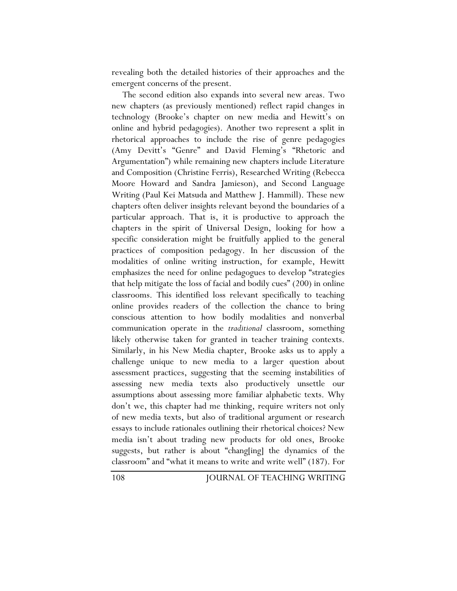revealing both the detailed histories of their approaches and the emergent concerns of the present.

The second edition also expands into several new areas. Two new chapters (as previously mentioned) reflect rapid changes in technology (Brooke's chapter on new media and Hewitt's on online and hybrid pedagogies). Another two represent a split in rhetorical approaches to include the rise of genre pedagogies (Amy Devitt's "Genre" and David Fleming's "Rhetoric and Argumentation") while remaining new chapters include Literature and Composition (Christine Ferris), Researched Writing (Rebecca Moore Howard and Sandra Jamieson), and Second Language Writing (Paul Kei Matsuda and Matthew J. Hammill). These new chapters often deliver insights relevant beyond the boundaries of a particular approach. That is, it is productive to approach the chapters in the spirit of Universal Design, looking for how a specific consideration might be fruitfully applied to the general practices of composition pedagogy. In her discussion of the modalities of online writing instruction, for example, Hewitt emphasizes the need for online pedagogues to develop "strategies that help mitigate the loss of facial and bodily cues" (200) in online classrooms. This identified loss relevant specifically to teaching online provides readers of the collection the chance to bring conscious attention to how bodily modalities and nonverbal communication operate in the *traditional* classroom, something likely otherwise taken for granted in teacher training contexts. Similarly, in his New Media chapter, Brooke asks us to apply a challenge unique to new media to a larger question about assessment practices, suggesting that the seeming instabilities of assessing new media texts also productively unsettle our assumptions about assessing more familiar alphabetic texts. Why don't we, this chapter had me thinking, require writers not only of new media texts, but also of traditional argument or research essays to include rationales outlining their rhetorical choices? New media isn't about trading new products for old ones, Brooke suggests, but rather is about "chang[ing] the dynamics of the classroom" and "what it means to write and write well" (187). For

108 JOURNAL OF TEACHING WRITING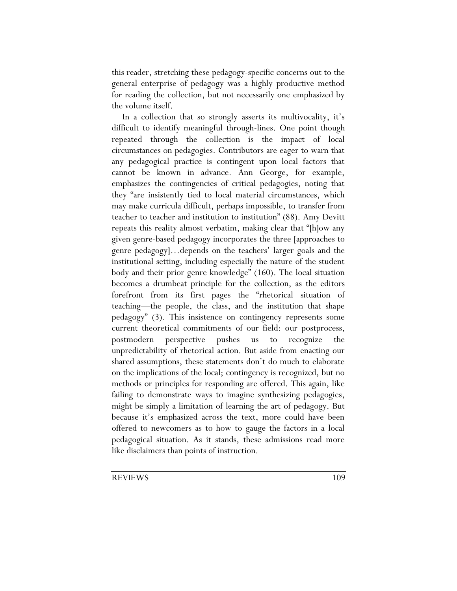this reader, stretching these pedagogy-specific concerns out to the general enterprise of pedagogy was a highly productive method for reading the collection, but not necessarily one emphasized by the volume itself.

In a collection that so strongly asserts its multivocality, it's difficult to identify meaningful through-lines. One point though repeated through the collection is the impact of local circumstances on pedagogies. Contributors are eager to warn that any pedagogical practice is contingent upon local factors that cannot be known in advance. Ann George, for example, emphasizes the contingencies of critical pedagogies, noting that they "are insistently tied to local material circumstances, which may make curricula difficult, perhaps impossible, to transfer from teacher to teacher and institution to institution" (88). Amy Devitt repeats this reality almost verbatim, making clear that "[h]ow any given genre-based pedagogy incorporates the three [approaches to genre pedagogy]…depends on the teachers' larger goals and the institutional setting, including especially the nature of the student body and their prior genre knowledge" (160). The local situation becomes a drumbeat principle for the collection, as the editors forefront from its first pages the "rhetorical situation of teaching—the people, the class, and the institution that shape pedagogy" (3). This insistence on contingency represents some current theoretical commitments of our field: our postprocess, postmodern perspective pushes us to recognize the unpredictability of rhetorical action. But aside from enacting our shared assumptions, these statements don't do much to elaborate on the implications of the local; contingency is recognized, but no methods or principles for responding are offered. This again, like failing to demonstrate ways to imagine synthesizing pedagogies, might be simply a limitation of learning the art of pedagogy. But because it's emphasized across the text, more could have been offered to newcomers as to how to gauge the factors in a local pedagogical situation. As it stands, these admissions read more like disclaimers than points of instruction.